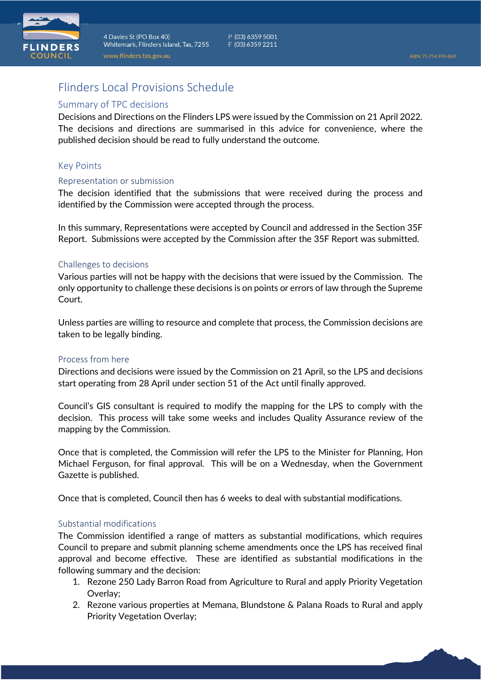

# Flinders Local Provisions Schedule

## Summary of TPC decisions

Decisions and Directions on the Flinders LPS were issued by the Commission on 21 April 2022. The decisions and directions are summarised in this advice for convenience, where the published decision should be read to fully understand the outcome.

# Key Points

#### Representation or submission

The decision identified that the submissions that were received during the process and identified by the Commission were accepted through the process.

In this summary, Representations were accepted by Council and addressed in the Section 35F Report. Submissions were accepted by the Commission after the 35F Report was submitted.

### Challenges to decisions

Various parties will not be happy with the decisions that were issued by the Commission. The only opportunity to challenge these decisions is on points or errors of law through the Supreme Court.

Unless parties are willing to resource and complete that process, the Commission decisions are taken to be legally binding.

#### Process from here

Directions and decisions were issued by the Commission on 21 April, so the LPS and decisions start operating from 28 April under section 51 of the Act until finally approved.

Council's GIS consultant is required to modify the mapping for the LPS to comply with the decision. This process will take some weeks and includes Quality Assurance review of the mapping by the Commission.

Once that is completed, the Commission will refer the LPS to the Minister for Planning, Hon Michael Ferguson, for final approval. This will be on a Wednesday, when the Government Gazette is published.

Once that is completed, Council then has 6 weeks to deal with substantial modifications.

## Substantial modifications

The Commission identified a range of matters as substantial modifications, which requires Council to prepare and submit planning scheme amendments once the LPS has received final approval and become effective. These are identified as substantial modifications in the following summary and the decision:

- 1. Rezone 250 Lady Barron Road from Agriculture to Rural and apply Priority Vegetation Overlay;
- 2. Rezone various properties at Memana, Blundstone & Palana Roads to Rural and apply Priority Vegetation Overlay;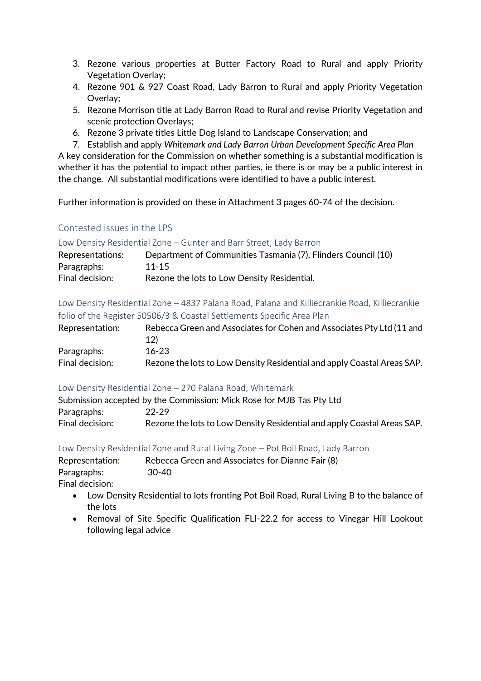- 3. Rezone various properties at Butter Factory Road to Rural and apply Priority Vegetation Overlay;
- 4. Rezone 901 & 927 Coast Road, Lady Barron to Rural and apply Priority Vegetation Overlay;
- 5. Rezone Morrison title at Lady Barron Road to Rural and revise Priority Vegetation and scenic protection Overlays;
- 6. Rezone 3 private titles Little Dog Island to Landscape Conservation; and
- 7. Establish and apply *Whitemark and Lady Barron Urban Development Specific Area Plan*

A key consideration for the Commission on whether something is a substantial modification is whether it has the potential to impact other parties, ie there is or may be a public interest in the change. All substantial modifications were identified to have a public interest.

Further information is provided on these in Attachment 3 pages 60-74 of the decision.

# Contested issues in the LPS

### Low Density Residential Zone – Gunter and Barr Street, Lady Barron

| Representations: | Department of Communities Tasmania (7), Flinders Council (10) |
|------------------|---------------------------------------------------------------|
| Paragraphs:      | $11 - 15$                                                     |
| Final decision:  | Rezone the lots to Low Density Residential.                   |

Low Density Residential Zone – 4837 Palana Road, Palana and Killiecrankie Road, Killiecrankie folio of the Register 50506/3 & Coastal Settlements Specific Area Plan

| Representation: | Rebecca Green and Associates for Cohen and Associates Pty Ltd (11 and   |
|-----------------|-------------------------------------------------------------------------|
|                 | 12)                                                                     |
| Paragraphs:     | $16 - 23$                                                               |
| Final decision: | Rezone the lots to Low Density Residential and apply Coastal Areas SAP. |

## Low Density Residential Zone – 270 Palana Road, Whitemark

|                 | Submission accepted by the Commission: Mick Rose for MJB Tas Pty Ltd    |
|-----------------|-------------------------------------------------------------------------|
| Paragraphs:     | 22-29                                                                   |
| Final decision: | Rezone the lots to Low Density Residential and apply Coastal Areas SAP. |

## Low Density Residential Zone and Rural Living Zone – Pot Boil Road, Lady Barron

| Representation: | Rebecca Green and Associates for Dianne Fair (8) |  |
|-----------------|--------------------------------------------------|--|
|                 |                                                  |  |

Paragraphs: 30-40

Final decision:

- Low Density Residential to lots fronting Pot Boil Road, Rural Living B to the balance of the lots
- Removal of Site Specific Qualification FLI-22.2 for access to Vinegar Hill Lookout following legal advice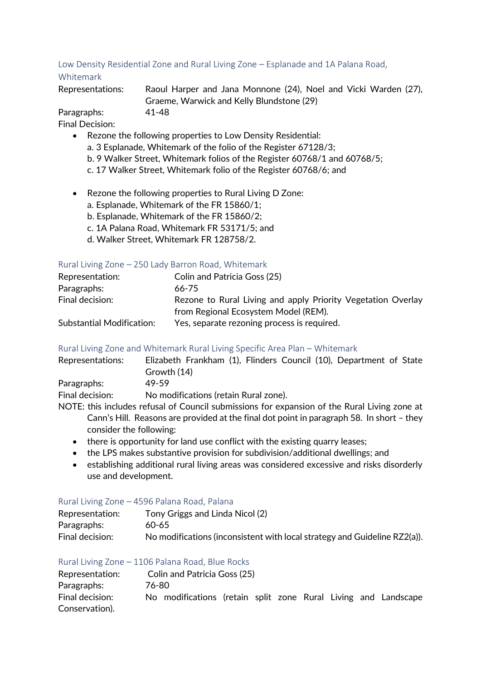# Low Density Residential Zone and Rural Living Zone – Esplanade and 1A Palana Road, Whitemark

Representations: Raoul Harper and Jana Monnone (24), Noel and Vicki Warden (27),

Graeme, Warwick and Kelly Blundstone (29)

Paragraphs: 41-48 Final Decision:

- Rezone the following properties to Low Density Residential:
	- a. 3 Esplanade, Whitemark of the folio of the Register 67128/3;
	- b. 9 Walker Street, Whitemark folios of the Register 60768/1 and 60768/5;
	- c. 17 Walker Street, Whitemark folio of the Register 60768/6; and
- Rezone the following properties to Rural Living D Zone:
	- a. Esplanade, Whitemark of the FR 15860/1;
	- b. Esplanade, Whitemark of the FR 15860/2;
	- c. 1A Palana Road, Whitemark FR 53171/5; and
	- d. Walker Street, Whitemark FR 128758/2.

# Rural Living Zone – 250 Lady Barron Road, Whitemark

| Representation:                  | Colin and Patricia Goss (25)                                 |
|----------------------------------|--------------------------------------------------------------|
| Paragraphs:                      | 66-75                                                        |
| Final decision:                  | Rezone to Rural Living and apply Priority Vegetation Overlay |
|                                  | from Regional Ecosystem Model (REM).                         |
| <b>Substantial Modification:</b> | Yes, separate rezoning process is required.                  |

# Rural Living Zone and Whitemark Rural Living Specific Area Plan – Whitemark

| Representations: | Elizabeth Frankham (1), Flinders Council (10), Department of State                           |
|------------------|----------------------------------------------------------------------------------------------|
|                  | Growth (14)                                                                                  |
| Paragraphs:      | 49-59                                                                                        |
| Final decision:  | No modifications (retain Rural zone).                                                        |
|                  | NOTE: this includes refused of Council submissions for expansion of the Pural Living zone at |

- NOTE: this includes refusal of Council submissions for expansion of the Rural Living zone at Cann's Hill. Reasons are provided at the final dot point in paragraph 58. In short – they consider the following:
	- there is opportunity for land use conflict with the existing quarry leases;
	- the LPS makes substantive provision for subdivision/additional dwellings; and
	- establishing additional rural living areas was considered excessive and risks disorderly use and development.

# Rural Living Zone – 4596 Palana Road, Palana

| Representation: | Tony Griggs and Linda Nicol (2)                                           |
|-----------------|---------------------------------------------------------------------------|
| Paragraphs:     | 60-65                                                                     |
| Final decision: | No modifications (inconsistent with local strategy and Guideline RZ2(a)). |

# Rural Living Zone – 1106 Palana Road, Blue Rocks

| Representation: |       | Colin and Patricia Goss (25)                                   |  |  |  |  |
|-----------------|-------|----------------------------------------------------------------|--|--|--|--|
| Paragraphs:     | 76-80 |                                                                |  |  |  |  |
| Final decision: |       | No modifications (retain split zone Rural Living and Landscape |  |  |  |  |
| Conservation).  |       |                                                                |  |  |  |  |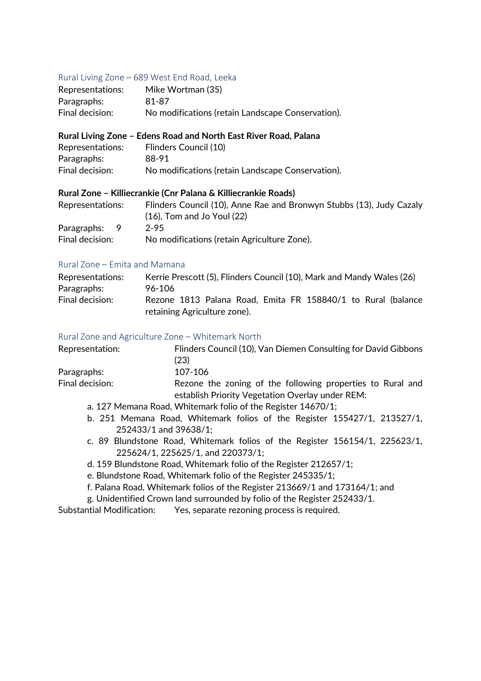## Rural Living Zone – 689 West End Road, Leeka

| Representations: | Mike Wortman (35)                                 |
|------------------|---------------------------------------------------|
| Paragraphs:      | 81-87                                             |
| Final decision:  | No modifications (retain Landscape Conservation). |

#### **Rural Living Zone – Edens Road and North East River Road, Palana**

| Representations: | Flinders Council (10)                             |
|------------------|---------------------------------------------------|
| Paragraphs:      | 88-91                                             |
| Final decision:  | No modifications (retain Landscape Conservation). |

#### **Rural Zone – Killiecrankie (Cnr Palana & Killiecrankie Roads)**

| Representations: | Flinders Council (10), Anne Rae and Bronwyn Stubbs (13), Judy Cazaly |
|------------------|----------------------------------------------------------------------|
|                  | $(16)$ , Tom and Jo Youl $(22)$                                      |
| Paragraphs: 9    | $2 - 95$                                                             |
| Final decision:  | No modifications (retain Agriculture Zone).                          |

#### Rural Zone – Emita and Mamana

| Representations: | Kerrie Prescott (5), Flinders Council (10), Mark and Mandy Wales (26) |
|------------------|-----------------------------------------------------------------------|
| Paragraphs:      | 96-106                                                                |
| Final decision:  | Rezone 1813 Palana Road, Emita FR 158840/1 to Rural (balance          |
|                  | retaining Agriculture zone).                                          |

#### Rural Zone and Agriculture Zone – Whitemark North

| Representation: | Flinders Council (10), Van Diemen Consulting for David Gibbons |
|-----------------|----------------------------------------------------------------|
|                 | (23)                                                           |
| Paragraphs:     | 107-106                                                        |
| Final decision: | Rezone the zoning of the following properties to Rural and     |
|                 | establish Priority Vegetation Overlay under REM:               |
|                 | a. 127 Memana Road, Whitemark folio of the Register 14670/1;   |

- b. 251 Memana Road, Whitemark folios of the Register 155427/1, 213527/1, 252433/1 and 39638/1;
- c. 89 Blundstone Road, Whitemark folios of the Register 156154/1, 225623/1, 225624/1, 225625/1, and 220373/1;
- d. 159 Blundstone Road, Whitemark folio of the Register 212657/1;
- e. Blundstone Road, Whitemark folio of the Register 245335/1;
- f. Palana Road, Whitemark folios of the Register 213669/1 and 173164/1; and
- g. Unidentified Crown land surrounded by folio of the Register 252433/1.
- Substantial Modification: Yes, separate rezoning process is required.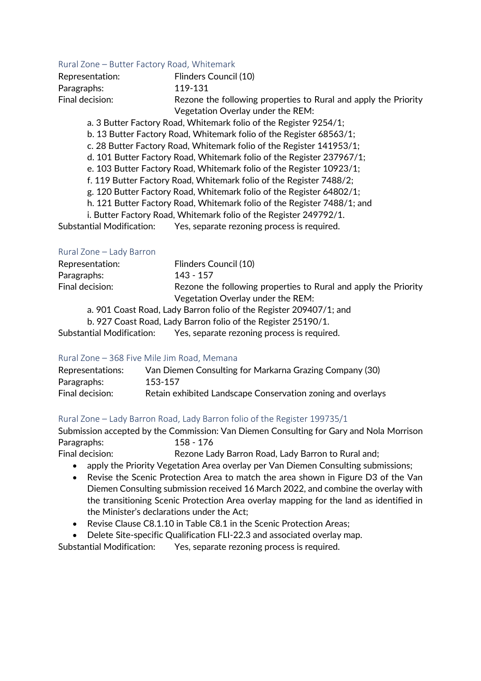### Rural Zone – Butter Factory Road, Whitemark

| Representation: | Flinders Council (10)                                           |
|-----------------|-----------------------------------------------------------------|
| Paragraphs:     | 119-131                                                         |
| Final decision: | Rezone the following properties to Rural and apply the Priority |
|                 | Vegetation Overlay under the REM:                               |

a. 3 Butter Factory Road, Whitemark folio of the Register 9254/1;

- b. 13 Butter Factory Road, Whitemark folio of the Register 68563/1;
- c. 28 Butter Factory Road, Whitemark folio of the Register 141953/1;
- d. 101 Butter Factory Road, Whitemark folio of the Register 237967/1;
- e. 103 Butter Factory Road, Whitemark folio of the Register 10923/1;
- f. 119 Butter Factory Road, Whitemark folio of the Register 7488/2;
- g. 120 Butter Factory Road, Whitemark folio of the Register 64802/1;
- h. 121 Butter Factory Road, Whitemark folio of the Register 7488/1; and
- i. Butter Factory Road, Whitemark folio of the Register 249792/1.
- Substantial Modification: Yes, separate rezoning process is required.

## Rural Zone – Lady Barron

| Representation: | Flinders Council (10)                                              |  |  |  |  |
|-----------------|--------------------------------------------------------------------|--|--|--|--|
| Paragraphs:     | 143 - 157                                                          |  |  |  |  |
| Final decision: | Rezone the following properties to Rural and apply the Priority    |  |  |  |  |
|                 | Vegetation Overlay under the REM:                                  |  |  |  |  |
|                 | a. 901 Coast Road, Lady Barron folio of the Register 209407/1; and |  |  |  |  |
|                 | b. 927 Coast Road, Lady Barron folio of the Register 25190/1.      |  |  |  |  |

Substantial Modification: Yes, separate rezoning process is required.

## Rural Zone – 368 Five Mile Jim Road, Memana

| Representations: | Van Diemen Consulting for Markarna Grazing Company (30)     |
|------------------|-------------------------------------------------------------|
| Paragraphs:      | 153-157                                                     |
| Final decision:  | Retain exhibited Landscape Conservation zoning and overlays |

## Rural Zone – Lady Barron Road, Lady Barron folio of the Register 199735/1

Submission accepted by the Commission: Van Diemen Consulting for Gary and Nola Morrison Paragraphs: 158 - 176

Final decision: Rezone Lady Barron Road, Lady Barron to Rural and;

- apply the Priority Vegetation Area overlay per Van Diemen Consulting submissions;
- Revise the Scenic Protection Area to match the area shown in Figure D3 of the Van Diemen Consulting submission received 16 March 2022, and combine the overlay with the transitioning Scenic Protection Area overlay mapping for the land as identified in the Minister's declarations under the Act;
- Revise Clause C8.1.10 in Table C8.1 in the Scenic Protection Areas;
- Delete Site-specific Qualification FLI-22.3 and associated overlay map.

Substantial Modification: Yes, separate rezoning process is required.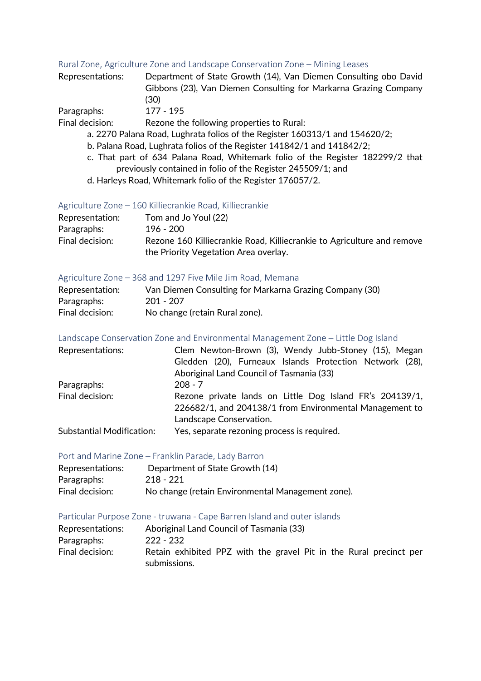#### Rural Zone, Agriculture Zone and Landscape Conservation Zone – Mining Leases

| Representations: | Department of State Growth (14), Van Diemen Consulting obo David |
|------------------|------------------------------------------------------------------|
|                  | Gibbons (23), Van Diemen Consulting for Markarna Grazing Company |
|                  | (30)                                                             |
| Paraorahs        | 177 - 195                                                        |

Paragraphs: 177 - 195<br>Final decision: Rezone th Rezone the following properties to Rural:

- a. 2270 Palana Road, Lughrata folios of the Register 160313/1 and 154620/2;
- b. Palana Road, Lughrata folios of the Register 141842/1 and 141842/2;
- c. That part of 634 Palana Road, Whitemark folio of the Register 182299/2 that previously contained in folio of the Register 245509/1; and
- d. Harleys Road, Whitemark folio of the Register 176057/2.

#### Agriculture Zone – 160 Killiecrankie Road, Killiecrankie

| Representation: | Tom and Jo Youl (22)                                                   |
|-----------------|------------------------------------------------------------------------|
| Paragraphs:     | 196 - 200                                                              |
| Final decision: | Rezone 160 Killiecrankie Road, Killiecrankie to Agriculture and remove |
|                 | the Priority Vegetation Area overlay.                                  |

## Agriculture Zone – 368 and 1297 Five Mile Jim Road, Memana

| Representation: | Van Diemen Consulting for Markarna Grazing Company (30) |
|-----------------|---------------------------------------------------------|
| Paragraphs:     | 201 - 207                                               |
| Final decision: | No change (retain Rural zone).                          |

#### Landscape Conservation Zone and Environmental Management Zone – Little Dog Island

| Representations:                 | Clem Newton-Brown (3), Wendy Jubb-Stoney (15), Megan     |  |  |  |  |  |
|----------------------------------|----------------------------------------------------------|--|--|--|--|--|
|                                  | Gledden (20), Furneaux Islands Protection Network (28),  |  |  |  |  |  |
|                                  | Aboriginal Land Council of Tasmania (33)                 |  |  |  |  |  |
| Paragraphs:                      | $208 - 7$                                                |  |  |  |  |  |
| Final decision:                  | Rezone private lands on Little Dog Island FR's 204139/1, |  |  |  |  |  |
|                                  | 226682/1, and 204138/1 from Environmental Management to  |  |  |  |  |  |
|                                  | Landscape Conservation.                                  |  |  |  |  |  |
| <b>Substantial Modification:</b> | Yes, separate rezoning process is required.              |  |  |  |  |  |

#### Port and Marine Zone – Franklin Parade, Lady Barron

| Representations: | Department of State Growth (14)                   |
|------------------|---------------------------------------------------|
| Paragraphs:      | 218 - 221                                         |
| Final decision:  | No change (retain Environmental Management zone). |

#### Particular Purpose Zone - truwana - Cape Barren Island and outer islands

| Representations: | Aboriginal Land Council of Tasmania (33)                           |
|------------------|--------------------------------------------------------------------|
| Paragraphs:      | 222 - 232                                                          |
| Final decision:  | Retain exhibited PPZ with the gravel Pit in the Rural precinct per |
|                  | submissions.                                                       |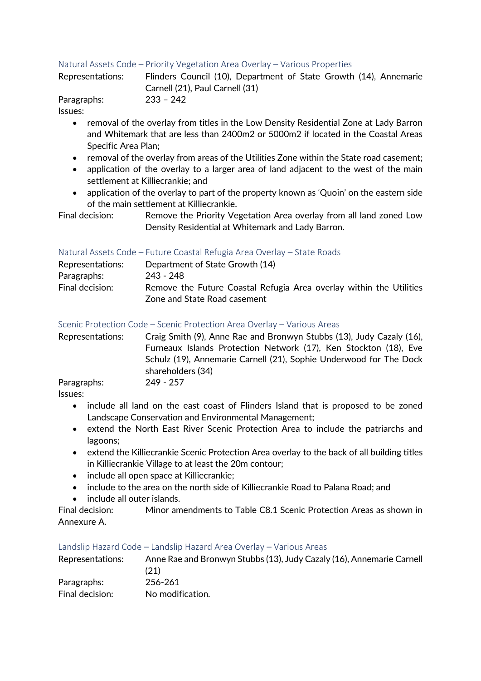## Natural Assets Code – Priority Vegetation Area Overlay – Various Properties

|                  | Carnell (21), Paul Carnell (31) |                                                                   |  |  |  |
|------------------|---------------------------------|-------------------------------------------------------------------|--|--|--|
| Representations: |                                 | Flinders Council (10), Department of State Growth (14), Annemarie |  |  |  |

Paragraphs: 233 – 242 Issues:

- removal of the overlay from titles in the Low Density Residential Zone at Lady Barron and Whitemark that are less than 2400m2 or 5000m2 if located in the Coastal Areas Specific Area Plan;
- removal of the overlay from areas of the Utilities Zone within the State road casement;
- application of the overlay to a larger area of land adjacent to the west of the main settlement at Killiecrankie; and
- application of the overlay to part of the property known as 'Quoin' on the eastern side of the main settlement at Killiecrankie.

Final decision: Remove the Priority Vegetation Area overlay from all land zoned Low Density Residential at Whitemark and Lady Barron.

### Natural Assets Code – Future Coastal Refugia Area Overlay – State Roads

| Representations: | Department of State Growth (14)                                     |
|------------------|---------------------------------------------------------------------|
| Paragraphs:      | 243 - 248                                                           |
| Final decision:  | Remove the Future Coastal Refugia Area overlay within the Utilities |
|                  | Zone and State Road casement                                        |

#### Scenic Protection Code – Scenic Protection Area Overlay – Various Areas

Representations: Craig Smith (9), Anne Rae and Bronwyn Stubbs (13), Judy Cazaly (16), Furneaux Islands Protection Network (17), Ken Stockton (18), Eve Schulz (19), Annemarie Carnell (21), Sophie Underwood for The Dock shareholders (34) Paragraphs: 249 - 257

Issues:

- include all land on the east coast of Flinders Island that is proposed to be zoned Landscape Conservation and Environmental Management;
- extend the North East River Scenic Protection Area to include the patriarchs and lagoons;
- extend the Killiecrankie Scenic Protection Area overlay to the back of all building titles in Killiecrankie Village to at least the 20m contour;
- include all open space at Killiecrankie;
- include to the area on the north side of Killiecrankie Road to Palana Road; and
- include all outer islands.

Final decision: Minor amendments to Table C8.1 Scenic Protection Areas as shown in Annexure A.

#### Landslip Hazard Code – Landslip Hazard Area Overlay – Various Areas

| Representations: | Anne Rae and Bronwyn Stubbs (13), Judy Cazaly (16), Annemarie Carnell<br>(21) |
|------------------|-------------------------------------------------------------------------------|
| Paragraphs:      | 256-261                                                                       |
| Final decision:  | No modification.                                                              |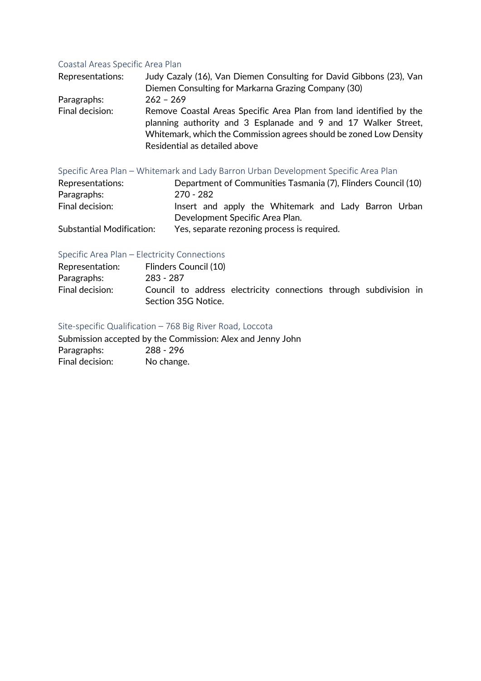# Coastal Areas Specific Area Plan<br>Pengesantational Ludy Cazaly (14) Von Diemen Co

| Representations: | Judy Cazaly (16), Van Diemen Consulting for David Gibbons (23), Van<br>Diemen Consulting for Markarna Grazing Company (30)                                                                                                                   |  |  |  |  |
|------------------|----------------------------------------------------------------------------------------------------------------------------------------------------------------------------------------------------------------------------------------------|--|--|--|--|
|                  |                                                                                                                                                                                                                                              |  |  |  |  |
| Paragraphs:      | $262 - 269$                                                                                                                                                                                                                                  |  |  |  |  |
| Final decision:  | Remove Coastal Areas Specific Area Plan from land identified by the<br>planning authority and 3 Esplanade and 9 and 17 Walker Street,<br>Whitemark, which the Commission agrees should be zoned Low Density<br>Residential as detailed above |  |  |  |  |

### Specific Area Plan – Whitemark and Lady Barron Urban Development Specific Area Plan

| Representations:                 | Department of Communities Tasmania (7), Flinders Council (10) |  |  |  |  |  |
|----------------------------------|---------------------------------------------------------------|--|--|--|--|--|
| Paragraphs:                      | 270 - 282                                                     |  |  |  |  |  |
| Final decision:                  | Insert and apply the Whitemark and Lady Barron Urban          |  |  |  |  |  |
|                                  | Development Specific Area Plan.                               |  |  |  |  |  |
| <b>Substantial Modification:</b> | Yes, separate rezoning process is required.                   |  |  |  |  |  |

# Specific Area Plan – Electricity Connections

| Representation: | Flinders Council (10)                                             |
|-----------------|-------------------------------------------------------------------|
| Paragraphs:     | 283 - 287                                                         |
| Final decision: | Council to address electricity connections through subdivision in |
|                 | Section 35G Notice.                                               |

# Site-specific Qualification – 768 Big River Road, Loccota

Submission accepted by the Commission: Alex and Jenny John Paragraphs: 288 - 296 Final decision: No change.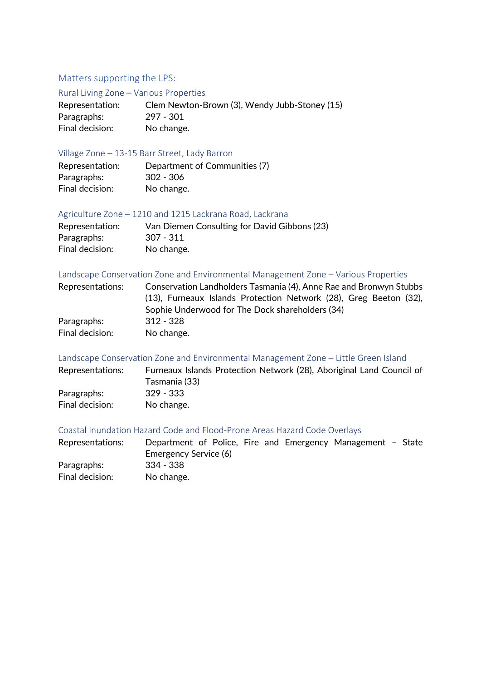# Matters supporting the LPS:

#### Rural Living Zone – Various Properties

| Representation: | Clem Newton-Brown (3), Wendy Jubb-Stoney (15) |
|-----------------|-----------------------------------------------|
| Paragraphs:     | 297 - 301                                     |
| Final decision: | No change.                                    |

### Village Zone – 13-15 Barr Street, Lady Barron

| Representation: | Department of Communities (7) |
|-----------------|-------------------------------|
| Paragraphs:     | 302 - 306                     |
| Final decision: | No change.                    |

### Agriculture Zone – 1210 and 1215 Lackrana Road, Lackrana

| Representation: | Van Diemen Consulting for David Gibbons (23) |
|-----------------|----------------------------------------------|
| Paragraphs:     | 307 - 311                                    |
| Final decision: | No change.                                   |

### Landscape Conservation Zone and Environmental Management Zone – Various Properties

| Representations: | Conservation Landholders Tasmania (4), Anne Rae and Bronwyn Stubbs |  |  |  |  |  |  |
|------------------|--------------------------------------------------------------------|--|--|--|--|--|--|
|                  | (13), Furneaux Islands Protection Network (28), Greg Beeton (32),  |  |  |  |  |  |  |
|                  | Sophie Underwood for The Dock shareholders (34)                    |  |  |  |  |  |  |
| Paragraphs:      | 312 - 328                                                          |  |  |  |  |  |  |
| Final decision:  | No change.                                                         |  |  |  |  |  |  |

Landscape Conservation Zone and Environmental Management Zone – Little Green Island

| Representations: | Furneaux Islands Protection Network (28), Aboriginal Land Council of |
|------------------|----------------------------------------------------------------------|
|                  | Tasmania (33)                                                        |
| Paragraphs:      | 329 - 333                                                            |
| Final decision:  | No change.                                                           |

## Coastal Inundation Hazard Code and Flood-Prone Areas Hazard Code Overlays

| Representations: | Department of Police, Fire and Emergency Management - State |  |  |  |
|------------------|-------------------------------------------------------------|--|--|--|
|                  | Emergency Service (6)                                       |  |  |  |
| Paragraphs:      | -334 - 338                                                  |  |  |  |
| Final decision:  | No change.                                                  |  |  |  |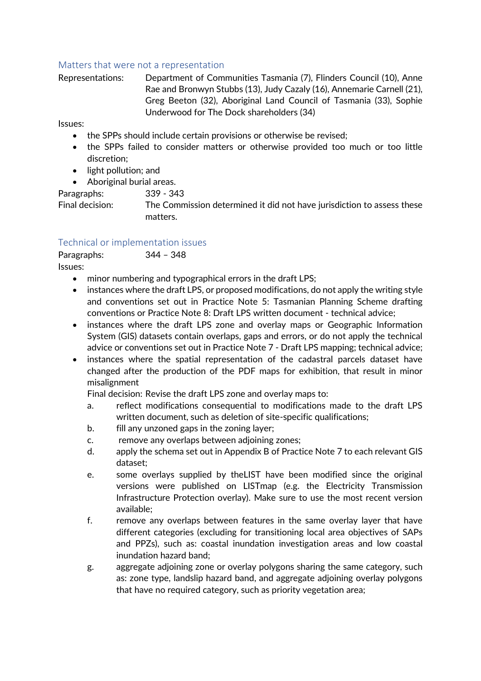## Matters that were not a representation

Representations: Department of Communities Tasmania (7), Flinders Council (10), Anne Rae and Bronwyn Stubbs (13), Judy Cazaly (16), Annemarie Carnell (21), Greg Beeton (32), Aboriginal Land Council of Tasmania (33), Sophie Underwood for The Dock shareholders (34)

Issues:

- the SPPs should include certain provisions or otherwise be revised;
- the SPPs failed to consider matters or otherwise provided too much or too little discretion;
- light pollution; and
- Aboriginal burial areas.

Paragraphs: 339 - 343

Final decision: The Commission determined it did not have jurisdiction to assess these matters.

# Technical or implementation issues

Paragraphs: 344 – 348 Issues:

- minor numbering and typographical errors in the draft LPS;
- instances where the draft LPS, or proposed modifications, do not apply the writing style and conventions set out in Practice Note 5: Tasmanian Planning Scheme drafting conventions or Practice Note 8: Draft LPS written document - technical advice;
- instances where the draft LPS zone and overlay maps or Geographic Information System (GIS) datasets contain overlaps, gaps and errors, or do not apply the technical advice or conventions set out in Practice Note 7 - Draft LPS mapping; technical advice;
- instances where the spatial representation of the cadastral parcels dataset have changed after the production of the PDF maps for exhibition, that result in minor misalignment

Final decision: Revise the draft LPS zone and overlay maps to:

- a. reflect modifications consequential to modifications made to the draft LPS written document, such as deletion of site-specific qualifications;
- b. fill any unzoned gaps in the zoning layer;
- c. remove any overlaps between adjoining zones;
- d. apply the schema set out in Appendix B of Practice Note 7 to each relevant GIS dataset;
- e. some overlays supplied by theLIST have been modified since the original versions were published on LISTmap (e.g. the Electricity Transmission Infrastructure Protection overlay). Make sure to use the most recent version available;
- f. remove any overlaps between features in the same overlay layer that have different categories (excluding for transitioning local area objectives of SAPs and PPZs), such as: coastal inundation investigation areas and low coastal inundation hazard band;
- g. aggregate adjoining zone or overlay polygons sharing the same category, such as: zone type, landslip hazard band, and aggregate adjoining overlay polygons that have no required category, such as priority vegetation area;